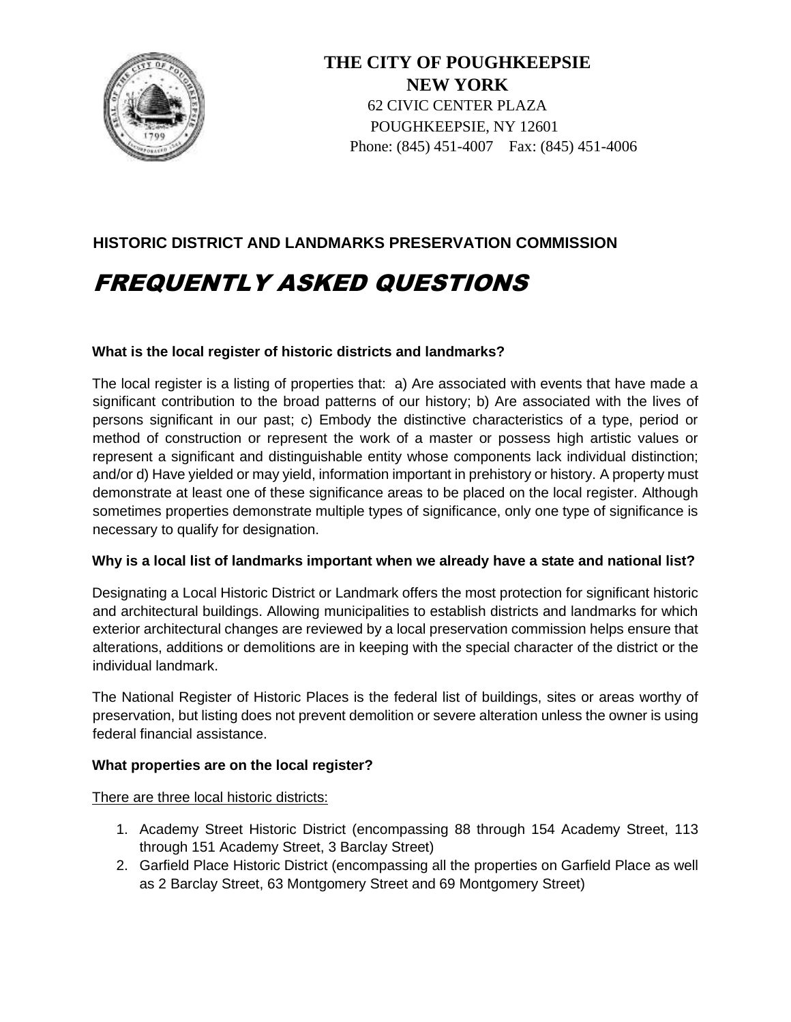

**THE CITY OF POUGHKEEPSIE NEW YORK**  62 CIVIC CENTER PLAZA POUGHKEEPSIE, NY 12601 Phone: (845) 451-4007 Fax: (845) 451-4006

## **HISTORIC DISTRICT AND LANDMARKS PRESERVATION COMMISSION**

# FREQUENTLY ASKED QUESTIONS

## **What is the local register of historic districts and landmarks?**

The local register is a listing of properties that: a) Are associated with events that have made a significant contribution to the broad patterns of our history; b) Are associated with the lives of persons significant in our past; c) Embody the distinctive characteristics of a type, period or method of construction or represent the work of a master or possess high artistic values or represent a significant and distinguishable entity whose components lack individual distinction; and/or d) Have yielded or may yield, information important in prehistory or history. A property must demonstrate at least one of these significance areas to be placed on the local register. Although sometimes properties demonstrate multiple types of significance, only one type of significance is necessary to qualify for designation.

## **Why is a local list of landmarks important when we already have a state and national list?**

Designating a Local Historic District or Landmark offers the most protection for significant historic and architectural buildings. Allowing municipalities to establish districts and landmarks for which exterior architectural changes are reviewed by a local preservation commission helps ensure that alterations, additions or demolitions are in keeping with the special character of the district or the individual landmark.

The National Register of Historic Places is the federal list of buildings, sites or areas worthy of preservation, but listing does not prevent demolition or severe alteration unless the owner is using federal financial assistance.

## **What properties are on the local register?**

There are three local historic districts:

- 1. Academy Street Historic District (encompassing 88 through 154 Academy Street, 113 through 151 Academy Street, 3 Barclay Street)
- 2. Garfield Place Historic District (encompassing all the properties on Garfield Place as well as 2 Barclay Street, 63 Montgomery Street and 69 Montgomery Street)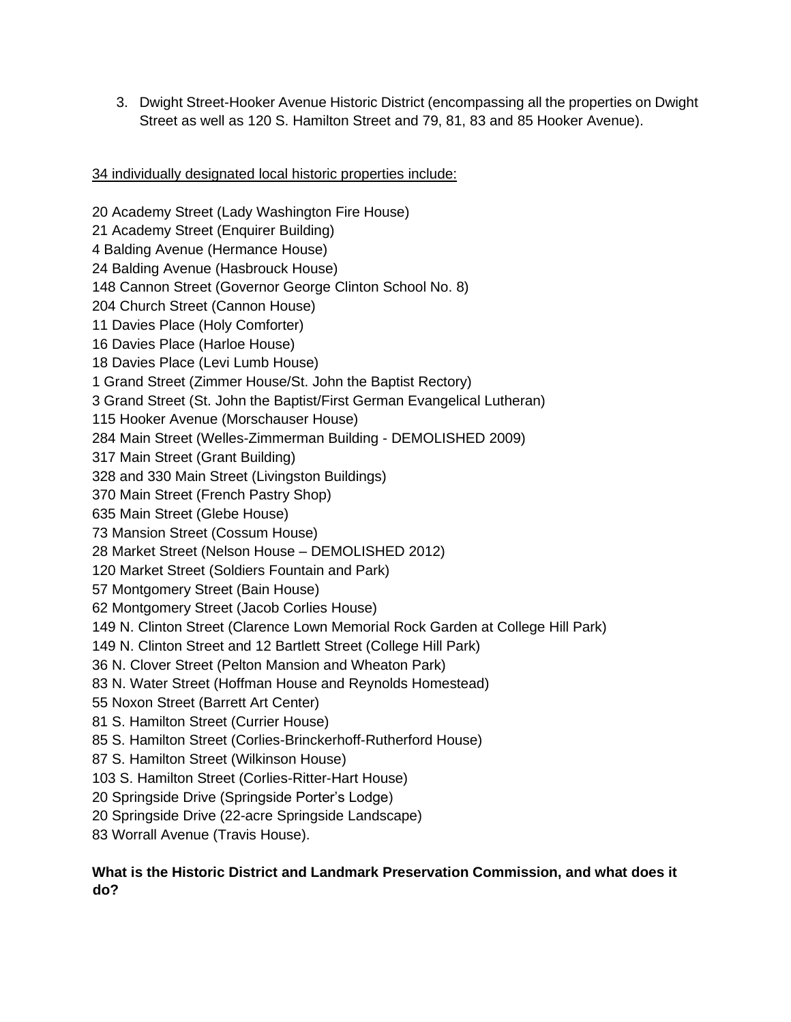3. Dwight Street-Hooker Avenue Historic District (encompassing all the properties on Dwight Street as well as 120 S. Hamilton Street and 79, 81, 83 and 85 Hooker Avenue).

## 34 individually designated local historic properties include:

20 Academy Street (Lady Washington Fire House) 21 Academy Street (Enquirer Building) 4 Balding Avenue (Hermance House) 24 Balding Avenue (Hasbrouck House) 148 Cannon Street (Governor George Clinton School No. 8) 204 Church Street (Cannon House) 11 Davies Place (Holy Comforter) 16 Davies Place (Harloe House) 18 Davies Place (Levi Lumb House) 1 Grand Street (Zimmer House/St. John the Baptist Rectory) 3 Grand Street (St. John the Baptist/First German Evangelical Lutheran) 115 Hooker Avenue (Morschauser House) 284 Main Street (Welles-Zimmerman Building - DEMOLISHED 2009) 317 Main Street (Grant Building) 328 and 330 Main Street (Livingston Buildings) 370 Main Street (French Pastry Shop) 635 Main Street (Glebe House) 73 Mansion Street (Cossum House) 28 Market Street (Nelson House – DEMOLISHED 2012) 120 Market Street (Soldiers Fountain and Park) 57 Montgomery Street (Bain House) 62 Montgomery Street (Jacob Corlies House) 149 N. Clinton Street (Clarence Lown Memorial Rock Garden at College Hill Park) 149 N. Clinton Street and 12 Bartlett Street (College Hill Park) 36 N. Clover Street (Pelton Mansion and Wheaton Park) 83 N. Water Street (Hoffman House and Reynolds Homestead) 55 Noxon Street (Barrett Art Center) 81 S. Hamilton Street (Currier House) 85 S. Hamilton Street (Corlies-Brinckerhoff-Rutherford House) 87 S. Hamilton Street (Wilkinson House) 103 S. Hamilton Street (Corlies-Ritter-Hart House) 20 Springside Drive (Springside Porter's Lodge) 20 Springside Drive (22-acre Springside Landscape) 83 Worrall Avenue (Travis House).

## **What is the Historic District and Landmark Preservation Commission, and what does it do?**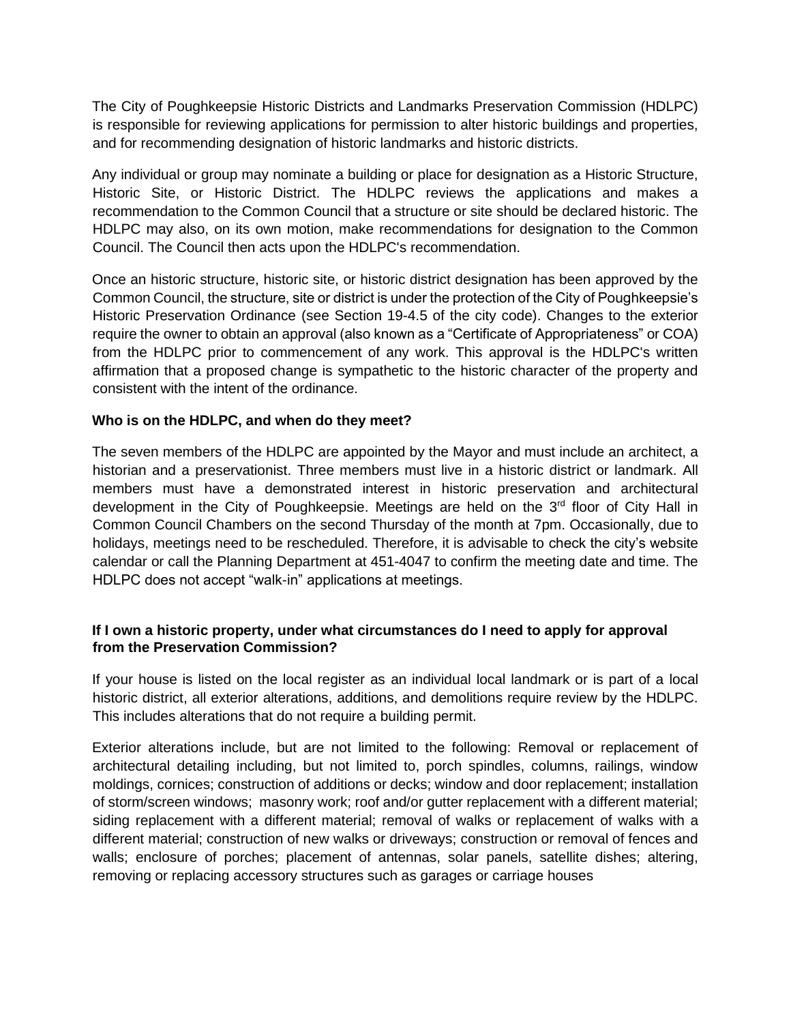The City of Poughkeepsie Historic Districts and Landmarks Preservation Commission (HDLPC) is responsible for reviewing applications for permission to alter historic buildings and properties, and for recommending designation of historic landmarks and historic districts.

Any individual or group may nominate a building or place for designation as a Historic Structure, Historic Site, or Historic District. The HDLPC reviews the applications and makes a recommendation to the Common Council that a structure or site should be declared historic. The HDLPC may also, on its own motion, make recommendations for designation to the Common Council. The Council then acts upon the HDLPC's recommendation.

Once an historic structure, historic site, or historic district designation has been approved by the Common Council, the structure, site or district is under the protection of the City of Poughkeepsie's Historic Preservation Ordinance (see Section 19-4.5 of the city code). Changes to the exterior require the owner to obtain an approval (also known as a "Certificate of Appropriateness" or COA) from the HDLPC prior to commencement of any work. This approval is the HDLPC's written affirmation that a proposed change is sympathetic to the historic character of the property and consistent with the intent of the ordinance.

## **Who is on the HDLPC, and when do they meet?**

The seven members of the HDLPC are appointed by the Mayor and must include an architect, a historian and a preservationist. Three members must live in a historic district or landmark. All members must have a demonstrated interest in historic preservation and architectural development in the City of Poughkeepsie. Meetings are held on the 3<sup>rd</sup> floor of City Hall in Common Council Chambers on the second Thursday of the month at 7pm. Occasionally, due to holidays, meetings need to be rescheduled. Therefore, it is advisable to check the city's website calendar or call the Planning Department at 451-4047 to confirm the meeting date and time. The HDLPC does not accept "walk-in" applications at meetings.

## **If I own a historic property, under what circumstances do I need to apply for approval from the Preservation Commission?**

If your house is listed on the local register as an individual local landmark or is part of a local historic district, all exterior alterations, additions, and demolitions require review by the HDLPC. This includes alterations that do not require a building permit.

Exterior alterations include, but are not limited to the following: Removal or replacement of architectural detailing including, but not limited to, porch spindles, columns, railings, window moldings, cornices; construction of additions or decks; window and door replacement; installation of storm/screen windows; masonry work; roof and/or gutter replacement with a different material; siding replacement with a different material; removal of walks or replacement of walks with a different material; construction of new walks or driveways; construction or removal of fences and walls; enclosure of porches; placement of antennas, solar panels, satellite dishes; altering, removing or replacing accessory structures such as garages or carriage houses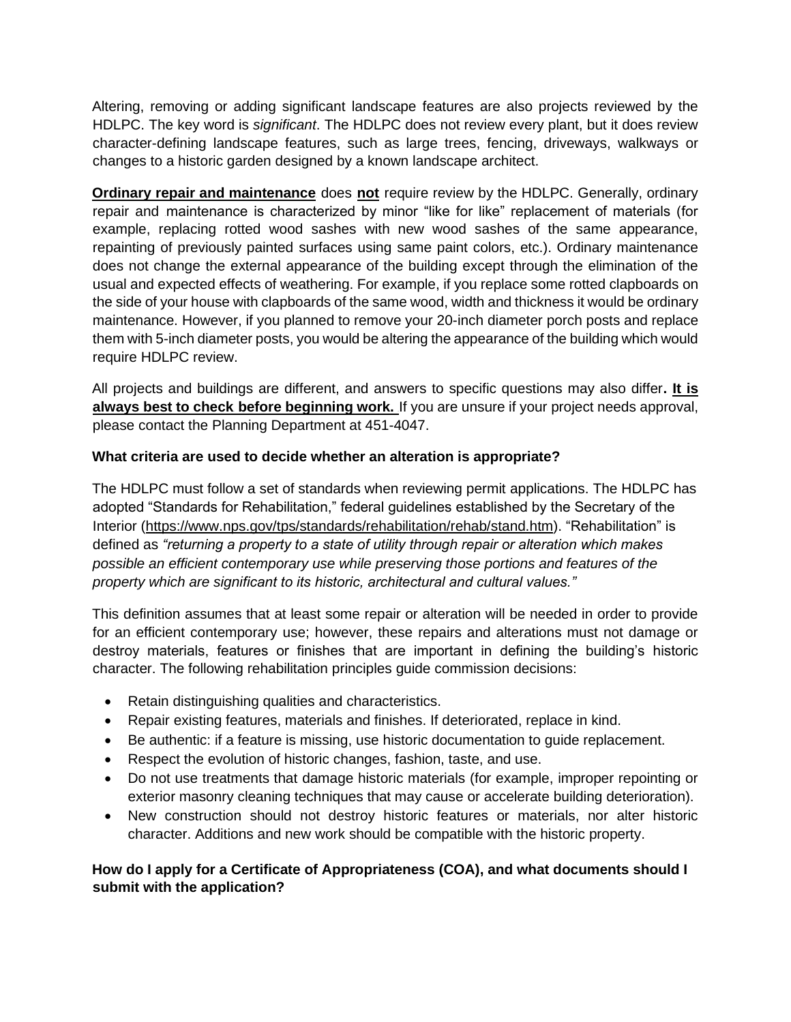Altering, removing or adding significant landscape features are also projects reviewed by the HDLPC. The key word is *significant*. The HDLPC does not review every plant, but it does review character-defining landscape features, such as large trees, fencing, driveways, walkways or changes to a historic garden designed by a known landscape architect.

**Ordinary repair and maintenance** does not require review by the HDLPC. Generally, ordinary repair and maintenance is characterized by minor "like for like" replacement of materials (for example, replacing rotted wood sashes with new wood sashes of the same appearance, repainting of previously painted surfaces using same paint colors, etc.). Ordinary maintenance does not change the external appearance of the building except through the elimination of the usual and expected effects of weathering. For example, if you replace some rotted clapboards on the side of your house with clapboards of the same wood, width and thickness it would be ordinary maintenance. However, if you planned to remove your 20-inch diameter porch posts and replace them with 5-inch diameter posts, you would be altering the appearance of the building which would require HDLPC review.

All projects and buildings are different, and answers to specific questions may also differ**. It is always best to check before beginning work.** If you are unsure if your project needs approval, please contact the Planning Department at 451-4047.

## **What criteria are used to decide whether an alteration is appropriate?**

The HDLPC must follow a set of standards when reviewing permit applications. The HDLPC has adopted "Standards for Rehabilitation," federal guidelines established by the Secretary of the Interior [\(https://www.nps.gov/tps/standards/rehabilitation/rehab/stand.htm\)](https://www.nps.gov/tps/standards/rehabilitation/rehab/stand.htm). "Rehabilitation" is defined as *"returning a property to a state of utility through repair or alteration which makes possible an efficient contemporary use while preserving those portions and features of the property which are significant to its historic, architectural and cultural values."* 

This definition assumes that at least some repair or alteration will be needed in order to provide for an efficient contemporary use; however, these repairs and alterations must not damage or destroy materials, features or finishes that are important in defining the building's historic character. The following rehabilitation principles guide commission decisions:

- Retain distinguishing qualities and characteristics.
- Repair existing features, materials and finishes. If deteriorated, replace in kind.
- Be authentic: if a feature is missing, use historic documentation to guide replacement.
- Respect the evolution of historic changes, fashion, taste, and use.
- Do not use treatments that damage historic materials (for example, improper repointing or exterior masonry cleaning techniques that may cause or accelerate building deterioration).
- New construction should not destroy historic features or materials, nor alter historic character. Additions and new work should be compatible with the historic property.

## **How do I apply for a Certificate of Appropriateness (COA), and what documents should I submit with the application?**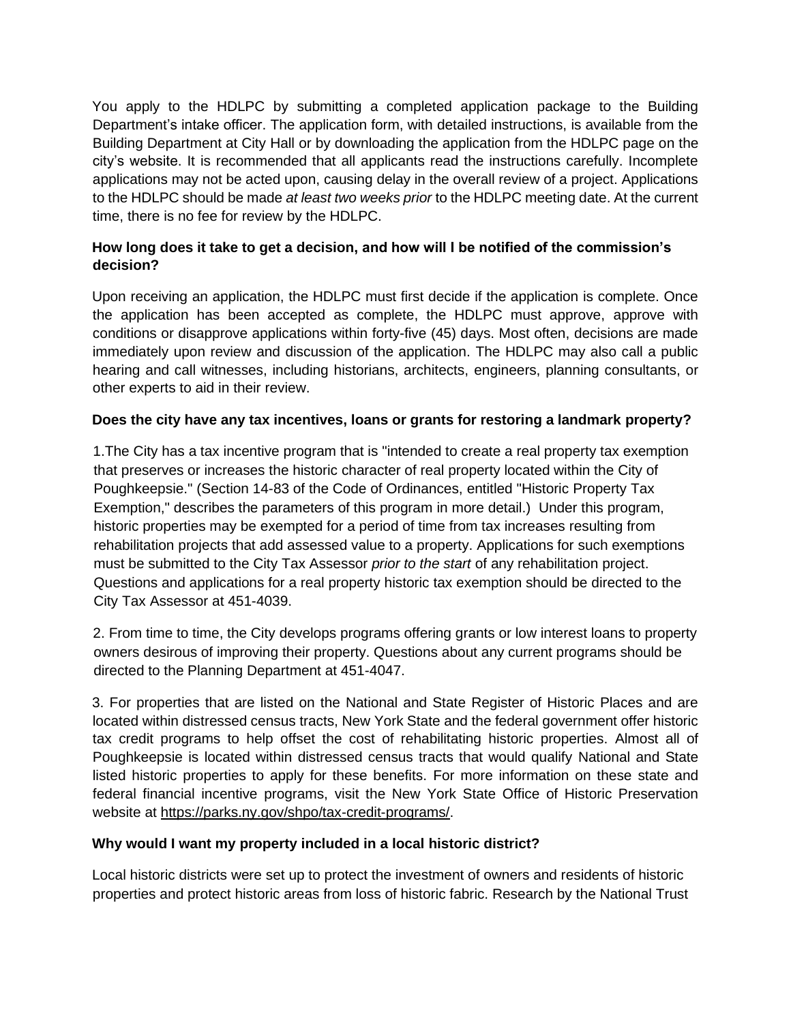You apply to the HDLPC by submitting a completed application package to the Building Department's intake officer. The application form, with detailed instructions, is available from the Building Department at City Hall or by downloading the application from the HDLPC page on the city's website. It is recommended that all applicants read the instructions carefully. Incomplete applications may not be acted upon, causing delay in the overall review of a project. Applications to the HDLPC should be made *at least two weeks prior* to the HDLPC meeting date. At the current time, there is no fee for review by the HDLPC.

## **How long does it take to get a decision, and how will I be notified of the commission's decision?**

Upon receiving an application, the HDLPC must first decide if the application is complete. Once the application has been accepted as complete, the HDLPC must approve, approve with conditions or disapprove applications within forty-five (45) days. Most often, decisions are made immediately upon review and discussion of the application. The HDLPC may also call a public hearing and call witnesses, including historians, architects, engineers, planning consultants, or other experts to aid in their review.

## **Does the city have any tax incentives, loans or grants for restoring a landmark property?**

1.The City has a tax incentive program that is "intended to create a real property tax exemption that preserves or increases the historic character of real property located within the City of Poughkeepsie." (Section 14-83 of the Code of Ordinances, entitled "Historic Property Tax Exemption," describes the parameters of this program in more detail.) Under this program, historic properties may be exempted for a period of time from tax increases resulting from rehabilitation projects that add assessed value to a property. Applications for such exemptions must be submitted to the City Tax Assessor *prior to the start* of any rehabilitation project. Questions and applications for a real property historic tax exemption should be directed to the City Tax Assessor at 451-4039.

2. From time to time, the City develops programs offering grants or low interest loans to property owners desirous of improving their property. Questions about any current programs should be directed to the Planning Department at 451-4047.

3. For properties that are listed on the National and State Register of Historic Places and are located within distressed census tracts, New York State and the federal government offer historic tax credit programs to help offset the cost of rehabilitating historic properties. Almost all of Poughkeepsie is located within distressed census tracts that would qualify National and State listed historic properties to apply for these benefits. For more information on these state and federal financial incentive programs, visit the New York State Office of Historic Preservation website at [https://parks.ny.gov/shpo/tax-credit-programs/.](https://parks.ny.gov/shpo/tax-credit-programs/)

## **Why would I want my property included in a local historic district?**

Local historic districts were set up to protect the investment of owners and residents of historic properties and protect historic areas from loss of historic fabric. Research by the National Trust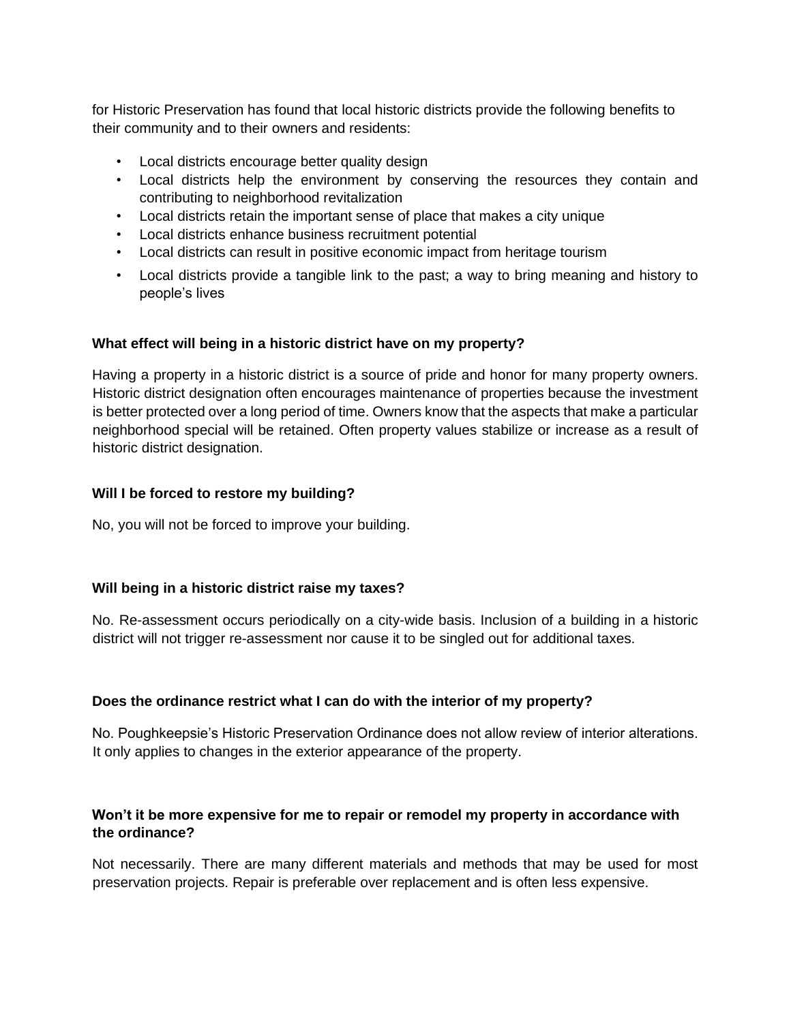for Historic Preservation has found that local historic districts provide the following benefits to their community and to their owners and residents:

- Local districts encourage better quality design
- Local districts help the environment by conserving the resources they contain and contributing to neighborhood revitalization
- Local districts retain the important sense of place that makes a city unique
- Local districts enhance business recruitment potential
- Local districts can result in positive economic impact from heritage tourism
- Local districts provide a tangible link to the past; a way to bring meaning and history to people's lives

## **What effect will being in a historic district have on my property?**

Having a property in a historic district is a source of pride and honor for many property owners. Historic district designation often encourages maintenance of properties because the investment is better protected over a long period of time. Owners know that the aspects that make a particular neighborhood special will be retained. Often property values stabilize or increase as a result of historic district designation.

## **Will I be forced to restore my building?**

No, you will not be forced to improve your building.

## **Will being in a historic district raise my taxes?**

No. Re-assessment occurs periodically on a city-wide basis. Inclusion of a building in a historic district will not trigger re-assessment nor cause it to be singled out for additional taxes.

## **Does the ordinance restrict what I can do with the interior of my property?**

No. Poughkeepsie's Historic Preservation Ordinance does not allow review of interior alterations. It only applies to changes in the exterior appearance of the property.

## **Won't it be more expensive for me to repair or remodel my property in accordance with the ordinance?**

Not necessarily. There are many different materials and methods that may be used for most preservation projects. Repair is preferable over replacement and is often less expensive.